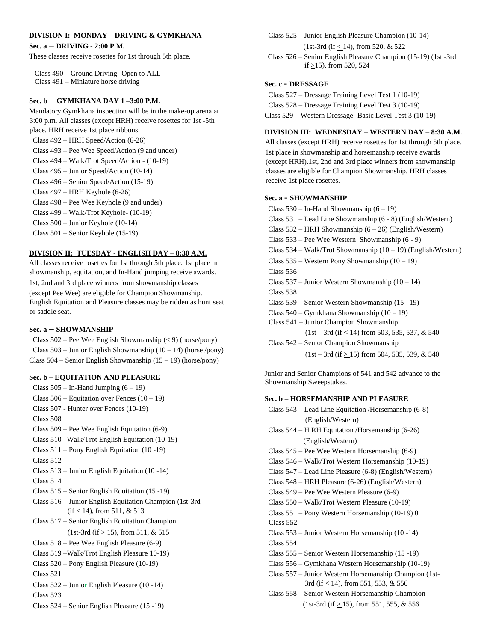# **DIVISION I: MONDAY – DRIVING & GYMKHANA**

**Sec. a – DRIVING - 2:00 P.M.**

These classes receive rosettes for 1st through 5th place.

 Class 490 – Ground Driving- Open to ALL Class 491 – Miniature horse driving

## **Sec. b – GYMKHANA DAY 1 –3:00 P.M.**

Mandatory Gymkhana inspection will be in the make-up arena at 3:00 p.m. All classes (except HRH) receive rosettes for 1st -5th place. HRH receive 1st place ribbons.

Class 492 – HRH Speed/Action (6-26)

- Class 493 Pee Wee Speed/Action (9 and under)
- Class 494 Walk/Trot Speed/Action (10-19)
- Class 495 Junior Speed/Action (10-14)

Class 496 – Senior Speed/Action (15-19)

- Class 497 HRH Keyhole (6-26)
- Class 498 Pee Wee Keyhole (9 and under)

Class 499 – Walk/Trot Keyhole- (10-19)

Class 500 – Junior Keyhole (10-14)

Class 501 – Senior Keyhole (15-19)

### **DIVISION II: TUESDAY - ENGLISH DAY – 8:30 A.M.**

All classes receive rosettes for 1st through 5th place. 1st place in showmanship, equitation, and In-Hand jumping receive awards. 1st, 2nd and 3rd place winners from showmanship classes (except Pee Wee) are eligible for Champion Showmanship. English Equitation and Pleasure classes may be ridden as hunt seat or saddle seat.

#### **Sec. a – SHOWMANSHIP**

Class  $502$  – Pee Wee English Showmanship (< 9) (horse/pony) Class  $503$  – Junior English Showmanship  $(10 - 14)$  (horse /pony) Class 504 – Senior English Showmanship (15 – 19) (horse/pony)

## **Sec. b – EQUITATION AND PLEASURE**

Class  $505 - In-Hand Jumping (6 – 19)$ Class  $506$  – Equitation over Fences  $(10 - 19)$ Class 507 - Hunter over Fences (10-19) Class 508 Class 509 – Pee Wee English Equitation (6-9) Class 510 –Walk/Trot English Equitation (10-19) Class 511 – Pony English Equitation (10 -19) Class 512 Class 513 – Junior English Equitation (10 -14) Class 514 Class 515 – Senior English Equitation (15 -19) Class 516 – Junior English Equitation Champion (1st-3rd  $(if \leq 14)$ , from 511, & 513 Class 517 – Senior English Equitation Champion  $(1st-3rd (if > 15), from 511, & 515)$ Class 518 – Pee Wee English Pleasure (6-9) Class 519 –Walk/Trot English Pleasure 10-19) Class 520 – Pony English Pleasure (10-19) Class 521 Class 522 – Junior English Pleasure (10 -14) Class 523 Class 524 – Senior English Pleasure (15 -19)

Class 525 – Junior English Pleasure Champion (10-14)

(1st-3rd (if < 14), from 520, & 522

Class 526 – Senior English Pleasure Champion (15-19) (1st -3rd if  $\geq$ 15), from 520, 524

# **Sec. c - DRESSAGE**

Class 527 – Dressage Training Level Test 1 (10-19)

Class 528 – Dressage Training Level Test 3 (10-19)

Class 529 – Western Dressage -Basic Level Test 3 (10-19)

## **DIVISION III: WEDNESDAY – WESTERN DAY – 8:30 A.M.**

All classes (except HRH) receive rosettes for 1st through 5th place. 1st place in showmanship and horsemanship receive awards (except HRH).1st, 2nd and 3rd place winners from showmanship classes are eligible for Champion Showmanship. HRH classes receive 1st place rosettes.

#### **Sec. a - SHOWMANSHIP**

Class  $530 - In$ -Hand Showmanship  $(6 - 19)$ 

- Class 531 Lead Line Showmanship (6 8) (English/Western)
- Class 532 HRH Showmanship (6 26) (English/Western)
- Class 533 Pee Wee Western Showmanship (6 9)
- Class 534 Walk/Trot Showmanship (10 19) (English/Western)
- Class  $535$  Western Pony Showmanship  $(10 19)$
- Class 536

Class  $537$  – Junior Western Showmanship  $(10 - 14)$ Class 538

Class 539 – Senior Western Showmanship (15– 19)

- Class 540 Gymkhana Showmanship (10 19)
- Class 541 Junior Champion Showmanship
	- $(1st 3rd$  (if  $\leq 14$ ) from 503, 535, 537, & 540

Class 542 – Senior Champion Showmanship

 $(1st - 3rd (if \ge 15)$  from 504, 535, 539, & 540

Junior and Senior Champions of 541 and 542 advance to the Showmanship Sweepstakes.

#### **Sec. b – HORSEMANSHIP AND PLEASURE**

| Class 543 – Lead Line Equitation /Horsemanship (6-8)   |
|--------------------------------------------------------|
| (English/Western)                                      |
| Class $544 - H RH$ Equitation /Horsemanship (6-26)     |
| (English/Western)                                      |
| Class $545$ – Pee Wee Western Horsemanship $(6-9)$     |
| Class 546 – Walk/Trot Western Horsemanship (10-19)     |
| Class 547 – Lead Line Pleasure (6-8) (English/Western) |
| Class 548 – HRH Pleasure (6-26) (English/Western)      |
| Class 549 – Pee Wee Western Pleasure (6-9)             |
| Class 550 – Walk/Trot Western Pleasure (10-19)         |
| Class $551$ – Pony Western Horsemanship $(10-19)$ 0    |
| Class 552                                              |
| Class 553 – Junior Western Horsemanship (10 -14)       |
| Class 554                                              |
| Class 555 – Senior Western Horsemanship (15 -19)       |
| Class 556 – Gymkhana Western Horsemanship (10-19)      |
| Class 557 – Junior Western Horsemanship Champion (1st- |
| 3rd (if $< 14$ ), from 551, 553, & 556                 |
| Class 558 – Senior Western Horsemanship Champion       |
| $(1st-3rd (if \ge 15), from 551, 555, & 556)$          |